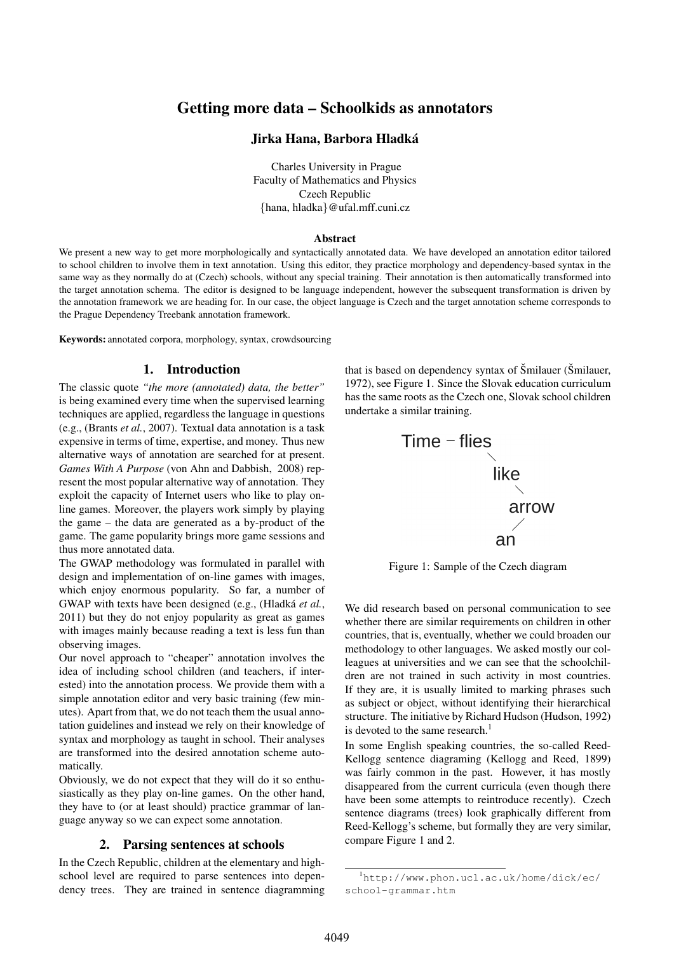# Getting more data – Schoolkids as annotators

### Jirka Hana, Barbora Hladka´

Charles University in Prague Faculty of Mathematics and Physics Czech Republic {hana, hladka}@ufal.mff.cuni.cz

#### Abstract

We present a new way to get more morphologically and syntactically annotated data. We have developed an annotation editor tailored to school children to involve them in text annotation. Using this editor, they practice morphology and dependency-based syntax in the same way as they normally do at (Czech) schools, without any special training. Their annotation is then automatically transformed into the target annotation schema. The editor is designed to be language independent, however the subsequent transformation is driven by the annotation framework we are heading for. In our case, the object language is Czech and the target annotation scheme corresponds to the Prague Dependency Treebank annotation framework.

Keywords: annotated corpora, morphology, syntax, crowdsourcing

## 1. Introduction

The classic quote *"the more (annotated) data, the better"* is being examined every time when the supervised learning techniques are applied, regardless the language in questions (e.g., (Brants *et al.*, 2007). Textual data annotation is a task expensive in terms of time, expertise, and money. Thus new alternative ways of annotation are searched for at present. *Games With A Purpose* (von Ahn and Dabbish, 2008) represent the most popular alternative way of annotation. They exploit the capacity of Internet users who like to play online games. Moreover, the players work simply by playing the game – the data are generated as a by-product of the game. The game popularity brings more game sessions and thus more annotated data.

The GWAP methodology was formulated in parallel with design and implementation of on-line games with images, which enjoy enormous popularity. So far, a number of GWAP with texts have been designed (e.g., (Hladká *et al.*, 2011) but they do not enjoy popularity as great as games with images mainly because reading a text is less fun than observing images.

Our novel approach to "cheaper" annotation involves the idea of including school children (and teachers, if interested) into the annotation process. We provide them with a simple annotation editor and very basic training (few minutes). Apart from that, we do not teach them the usual annotation guidelines and instead we rely on their knowledge of syntax and morphology as taught in school. Their analyses are transformed into the desired annotation scheme automatically.

Obviously, we do not expect that they will do it so enthusiastically as they play on-line games. On the other hand, they have to (or at least should) practice grammar of language anyway so we can expect some annotation.

### 2. Parsing sentences at schools

In the Czech Republic, children at the elementary and highschool level are required to parse sentences into dependency trees. They are trained in sentence diagramming that is based on dependency syntax of Šmilauer (Šmilauer, 1972), see Figure 1. Since the Slovak education curriculum has the same roots as the Czech one, Slovak school children undertake a similar training.



Figure 1: Sample of the Czech diagram

We did research based on personal communication to see whether there are similar requirements on children in other countries, that is, eventually, whether we could broaden our methodology to other languages. We asked mostly our colleagues at universities and we can see that the schoolchildren are not trained in such activity in most countries. If they are, it is usually limited to marking phrases such as subject or object, without identifying their hierarchical structure. The initiative by Richard Hudson (Hudson, 1992) is devoted to the same research.<sup>1</sup>

In some English speaking countries, the so-called Reed-Kellogg sentence diagraming (Kellogg and Reed, 1899) was fairly common in the past. However, it has mostly disappeared from the current curricula (even though there have been some attempts to reintroduce recently). Czech sentence diagrams (trees) look graphically different from Reed-Kellogg's scheme, but formally they are very similar, compare Figure 1 and 2.

<sup>1</sup>http://www.phon.ucl.ac.uk/home/dick/ec/ school-grammar.htm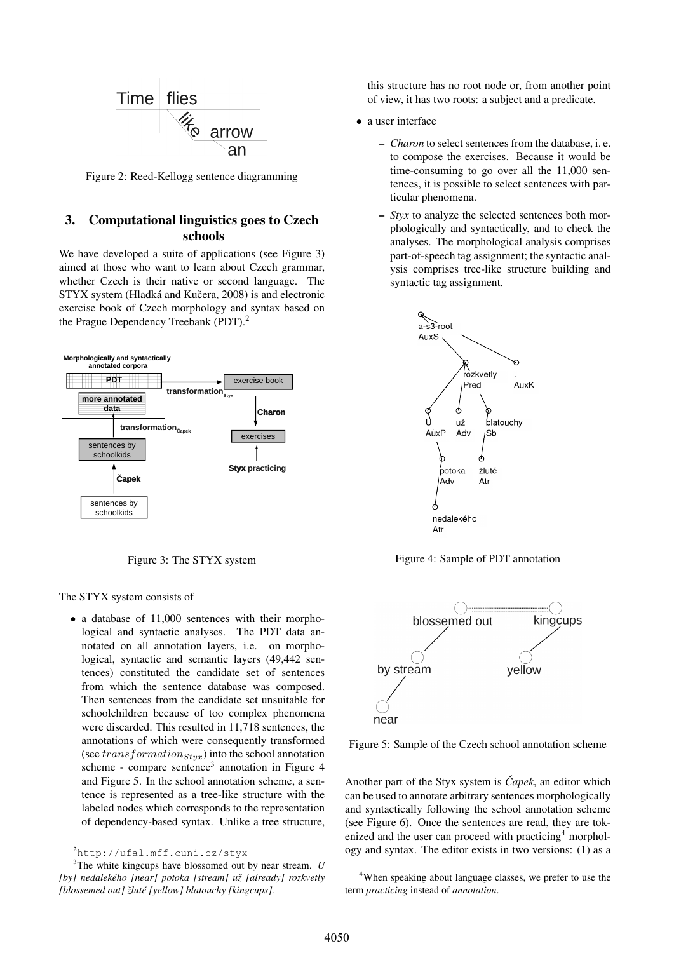

Figure 2: Reed-Kellogg sentence diagramming

## 3. Computational linguistics goes to Czech schools

We have developed a suite of applications (see Figure 3) aimed at those who want to learn about Czech grammar, whether Czech is their native or second language. The STYX system (Hladká and Kučera, 2008) is and electronic exercise book of Czech morphology and syntax based on the Prague Dependency Treebank (PDT).<sup>2</sup>



Figure 3: The STYX system

The STYX system consists of

• a database of 11,000 sentences with their morphological and syntactic analyses. The PDT data annotated on all annotation layers, i.e. on morphological, syntactic and semantic layers (49,442 sentences) constituted the candidate set of sentences from which the sentence database was composed. Then sentences from the candidate set unsuitable for schoolchildren because of too complex phenomena were discarded. This resulted in 11,718 sentences, the annotations of which were consequently transformed (see transformation $_{Styx}$ ) into the school annotation scheme - compare sentence<sup>3</sup> annotation in Figure 4 and Figure 5. In the school annotation scheme, a sentence is represented as a tree-like structure with the labeled nodes which corresponds to the representation of dependency-based syntax. Unlike a tree structure,

this structure has no root node or, from another point of view, it has two roots: a subject and a predicate.

- a user interface
	- *Charon* to select sentences from the database, i. e. to compose the exercises. Because it would be time-consuming to go over all the 11,000 sentences, it is possible to select sentences with particular phenomena.
	- *Styx* to analyze the selected sentences both morphologically and syntactically, and to check the analyses. The morphological analysis comprises part-of-speech tag assignment; the syntactic analysis comprises tree-like structure building and syntactic tag assignment.



Figure 4: Sample of PDT annotation



Figure 5: Sample of the Czech school annotation scheme

Another part of the Styx system is *Capek*, an editor which can be used to annotate arbitrary sentences morphologically and syntactically following the school annotation scheme (see Figure 6). Once the sentences are read, they are tokenized and the user can proceed with practicing<sup>4</sup> morphology and syntax. The editor exists in two versions: (1) as a

<sup>2</sup>http://ufal.mff.cuni.cz/styx

<sup>3</sup>The white kingcups have blossomed out by near stream. *U* [by] nedalekého [near] potoka [stream] už [already] rozkvetly *[blossemed out] zlut ˇ e [yellow] blatouchy [kingcups]. ´*

<sup>4</sup>When speaking about language classes, we prefer to use the term *practicing* instead of *annotation*.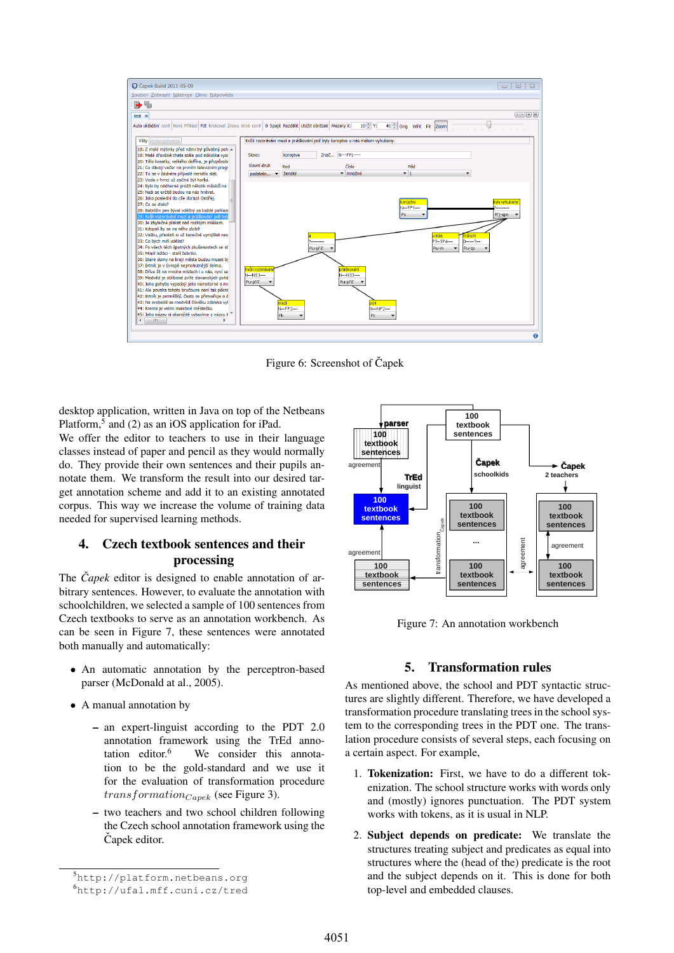

Figure 6: Screenshot of Čapek

desktop application, written in Java on top of the Netbeans Platform,<sup>5</sup> and (2) as an iOS application for iPad.

We offer the editor to teachers to use in their language classes instead of paper and pencil as they would normally do. They provide their own sentences and their pupils annotate them. We transform the result into our desired target annotation scheme and add it to an existing annotated corpus. This way we increase the volume of training data needed for supervised learning methods.

# 4. Czech textbook sentences and their processing

The *Capek* editor is designed to enable annotation of arbitrary sentences. However, to evaluate the annotation with schoolchildren, we selected a sample of 100 sentences from Czech textbooks to serve as an annotation workbench. As can be seen in Figure 7, these sentences were annotated both manually and automatically:

- An automatic annotation by the perceptron-based parser (McDonald at al., 2005).
- A manual annotation by
	- an expert-linguist according to the PDT 2.0 annotation framework using the TrEd annotation editor. $6$  We consider this annotation to be the gold-standard and we use it for the evaluation of transformation procedure  $transformation_{Capek}$  (see Figure 3).
	- two teachers and two school children following the Czech school annotation framework using the Čapek editor.



Figure 7: An annotation workbench

## 5. Transformation rules

As mentioned above, the school and PDT syntactic structures are slightly different. Therefore, we have developed a transformation procedure translating trees in the school system to the corresponding trees in the PDT one. The translation procedure consists of several steps, each focusing on a certain aspect. For example,

- 1. Tokenization: First, we have to do a different tokenization. The school structure works with words only and (mostly) ignores punctuation. The PDT system works with tokens, as it is usual in NLP.
- 2. Subject depends on predicate: We translate the structures treating subject and predicates as equal into structures where the (head of the) predicate is the root and the subject depends on it. This is done for both top-level and embedded clauses.

<sup>5</sup>http://platform.netbeans.org

<sup>6</sup>http://ufal.mff.cuni.cz/tred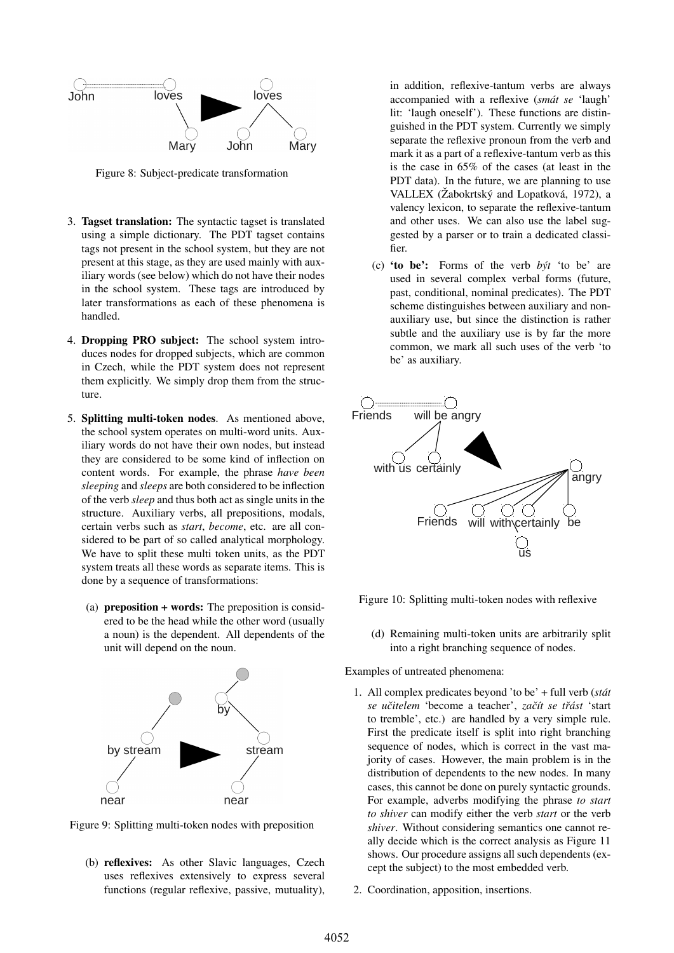

Figure 8: Subject-predicate transformation

- 3. Tagset translation: The syntactic tagset is translated using a simple dictionary. The PDT tagset contains tags not present in the school system, but they are not present at this stage, as they are used mainly with auxiliary words (see below) which do not have their nodes in the school system. These tags are introduced by later transformations as each of these phenomena is handled.
- 4. Dropping PRO subject: The school system introduces nodes for dropped subjects, which are common in Czech, while the PDT system does not represent them explicitly. We simply drop them from the structure.
- 5. Splitting multi-token nodes. As mentioned above, the school system operates on multi-word units. Auxiliary words do not have their own nodes, but instead they are considered to be some kind of inflection on content words. For example, the phrase *have been sleeping* and *sleeps* are both considered to be inflection of the verb *sleep* and thus both act as single units in the structure. Auxiliary verbs, all prepositions, modals, certain verbs such as *start*, *become*, etc. are all considered to be part of so called analytical morphology. We have to split these multi token units, as the PDT system treats all these words as separate items. This is done by a sequence of transformations:
	- (a) preposition + words: The preposition is considered to be the head while the other word (usually a noun) is the dependent. All dependents of the unit will depend on the noun.



Figure 9: Splitting multi-token nodes with preposition

(b) reflexives: As other Slavic languages, Czech uses reflexives extensively to express several functions (regular reflexive, passive, mutuality), in addition, reflexive-tantum verbs are always accompanied with a reflexive (*smat se ´* 'laugh' lit: 'laugh oneself'). These functions are distinguished in the PDT system. Currently we simply separate the reflexive pronoun from the verb and mark it as a part of a reflexive-tantum verb as this is the case in 65% of the cases (at least in the PDT data). In the future, we are planning to use VALLEX (Žabokrtský and Lopatková, 1972), a valency lexicon, to separate the reflexive-tantum and other uses. We can also use the label suggested by a parser or to train a dedicated classifier.

(c) 'to be': Forms of the verb *byt´* 'to be' are used in several complex verbal forms (future, past, conditional, nominal predicates). The PDT scheme distinguishes between auxiliary and nonauxiliary use, but since the distinction is rather subtle and the auxiliary use is by far the more common, we mark all such uses of the verb 'to be' as auxiliary.



Figure 10: Splitting multi-token nodes with reflexive

(d) Remaining multi-token units are arbitrarily split into a right branching sequence of nodes.

Examples of untreated phenomena:

- 1. All complex predicates beyond 'to be' + full verb (*stat´ se ucitelem ˇ* 'become a teacher', *zacˇ´ıt se trˇast ´* 'start to tremble', etc.) are handled by a very simple rule. First the predicate itself is split into right branching sequence of nodes, which is correct in the vast majority of cases. However, the main problem is in the distribution of dependents to the new nodes. In many cases, this cannot be done on purely syntactic grounds. For example, adverbs modifying the phrase *to start to shiver* can modify either the verb *start* or the verb *shiver*. Without considering semantics one cannot really decide which is the correct analysis as Figure 11 shows. Our procedure assigns all such dependents (except the subject) to the most embedded verb.
- 2. Coordination, apposition, insertions.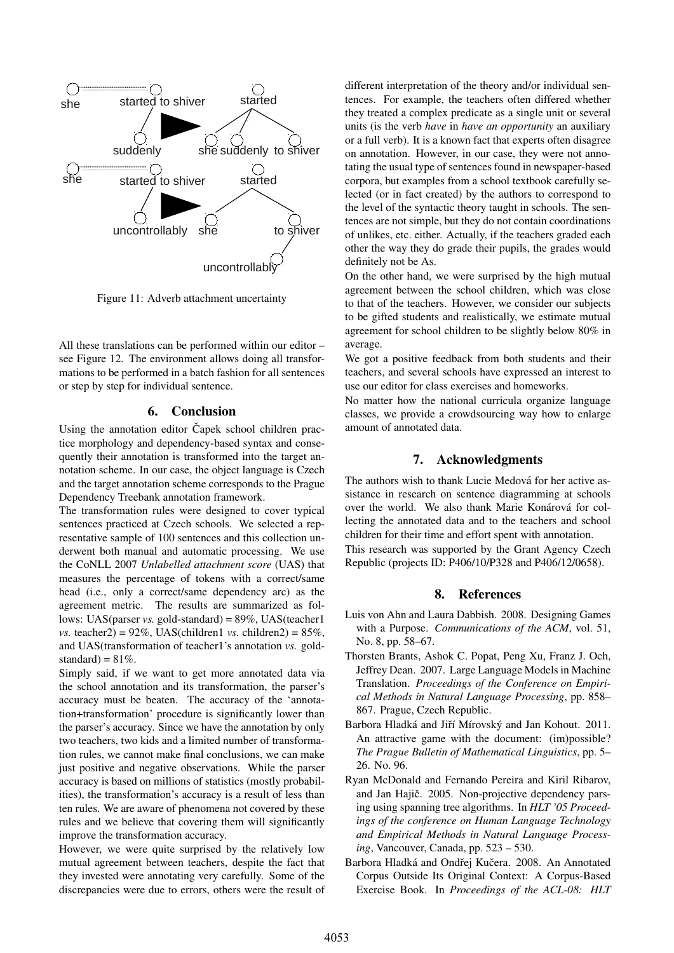

Figure 11: Adverb attachment uncertainty

All these translations can be performed within our editor – see Figure 12. The environment allows doing all transformations to be performed in a batch fashion for all sentences or step by step for individual sentence.

### 6. Conclusion

Using the annotation editor Čapek school children practice morphology and dependency-based syntax and consequently their annotation is transformed into the target annotation scheme. In our case, the object language is Czech and the target annotation scheme corresponds to the Prague Dependency Treebank annotation framework.

The transformation rules were designed to cover typical sentences practiced at Czech schools. We selected a representative sample of 100 sentences and this collection underwent both manual and automatic processing. We use the CoNLL 2007 *Unlabelled attachment score* (UAS) that measures the percentage of tokens with a correct/same head (i.e., only a correct/same dependency arc) as the agreement metric. The results are summarized as follows: UAS(parser *vs.* gold-standard) = 89%, UAS(teacher1 *vs.* teacher2) =  $92\%$ , UAS(children1 *vs.* children2) =  $85\%$ , and UAS(transformation of teacher1's annotation *vs.* goldstandard) =  $81\%$ .

Simply said, if we want to get more annotated data via the school annotation and its transformation, the parser's accuracy must be beaten. The accuracy of the 'annotation+transformation' procedure is significantly lower than the parser's accuracy. Since we have the annotation by only two teachers, two kids and a limited number of transformation rules, we cannot make final conclusions, we can make just positive and negative observations. While the parser accuracy is based on millions of statistics (mostly probabilities), the transformation's accuracy is a result of less than ten rules. We are aware of phenomena not covered by these rules and we believe that covering them will significantly improve the transformation accuracy.

However, we were quite surprised by the relatively low mutual agreement between teachers, despite the fact that they invested were annotating very carefully. Some of the discrepancies were due to errors, others were the result of different interpretation of the theory and/or individual sentences. For example, the teachers often differed whether they treated a complex predicate as a single unit or several units (is the verb *have* in *have an opportunity* an auxiliary or a full verb). It is a known fact that experts often disagree on annotation. However, in our case, they were not annotating the usual type of sentences found in newspaper-based corpora, but examples from a school textbook carefully selected (or in fact created) by the authors to correspond to the level of the syntactic theory taught in schools. The sentences are not simple, but they do not contain coordinations of unlikes, etc. either. Actually, if the teachers graded each other the way they do grade their pupils, the grades would definitely not be As.

On the other hand, we were surprised by the high mutual agreement between the school children, which was close to that of the teachers. However, we consider our subjects to be gifted students and realistically, we estimate mutual agreement for school children to be slightly below 80% in average.

We got a positive feedback from both students and their teachers, and several schools have expressed an interest to use our editor for class exercises and homeworks.

No matter how the national curricula organize language classes, we provide a crowdsourcing way how to enlarge amount of annotated data.

### 7. Acknowledgments

The authors wish to thank Lucie Medová for her active assistance in research on sentence diagramming at schools over the world. We also thank Marie Konárová for collecting the annotated data and to the teachers and school children for their time and effort spent with annotation.

This research was supported by the Grant Agency Czech Republic (projects ID: P406/10/P328 and P406/12/0658).

### 8. References

- Luis von Ahn and Laura Dabbish. 2008. Designing Games with a Purpose. *Communications of the ACM*, vol. 51, No. 8, pp. 58–67.
- Thorsten Brants, Ashok C. Popat, Peng Xu, Franz J. Och, Jeffrey Dean. 2007. Large Language Models in Machine Translation. *Proceedings of the Conference on Empirical Methods in Natural Language Processing*, pp. 858– 867. Prague, Czech Republic.
- Barbora Hladká and Jiří Mírovský and Jan Kohout. 2011. An attractive game with the document: (im)possible? *The Prague Bulletin of Mathematical Linguistics*, pp. 5– 26. No. 96.
- Ryan McDonald and Fernando Pereira and Kiril Ribarov, and Jan Hajič. 2005. Non-projective dependency parsing using spanning tree algorithms. In *HLT '05 Proceedings of the conference on Human Language Technology and Empirical Methods in Natural Language Processing*, Vancouver, Canada, pp. 523 – 530.
- Barbora Hladká and Ondřej Kučera. 2008. An Annotated Corpus Outside Its Original Context: A Corpus-Based Exercise Book. In *Proceedings of the ACL-08: HLT*